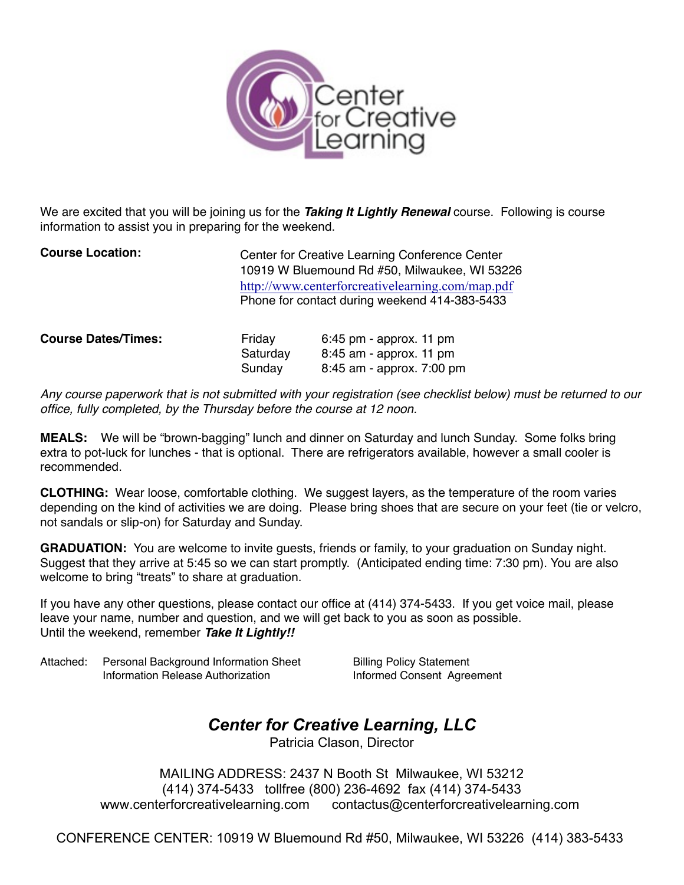

We are excited that you will be joining us for the *Taking It Lightly Renewal* course. Following is course information to assist you in preparing for the weekend.

| <b>Course Location:</b> | Center for Creative Learning Conference Center   |
|-------------------------|--------------------------------------------------|
|                         | 10919 W Bluemound Rd #50, Milwaukee, WI 53226    |
|                         | http://www.centerforcreativelearning.com/map.pdf |
|                         | Phone for contact during weekend 414-383-5433    |
|                         |                                                  |

| <b>Course Dates/Times:</b> | Friday   | $6:45$ pm - approx. 11 pm |
|----------------------------|----------|---------------------------|
|                            | Saturdav | 8:45 am - approx. 11 pm   |
|                            | Sundav   | 8:45 am - approx. 7:00 pm |

*Any course paperwork that is not submitted with your registration (see checklist below) must be returned to our office, fully completed, by the Thursday before the course at 12 noon.*

**MEALS:** We will be "brown-bagging" lunch and dinner on Saturday and lunch Sunday. Some folks bring extra to pot-luck for lunches - that is optional. There are refrigerators available, however a small cooler is recommended.

**CLOTHING:** Wear loose, comfortable clothing. We suggest layers, as the temperature of the room varies depending on the kind of activities we are doing. Please bring shoes that are secure on your feet (tie or velcro, not sandals or slip-on) for Saturday and Sunday.

**GRADUATION:** You are welcome to invite guests, friends or family, to your graduation on Sunday night. Suggest that they arrive at 5:45 so we can start promptly. (Anticipated ending time: 7:30 pm). You are also welcome to bring "treats" to share at graduation.

If you have any other questions, please contact our office at (414) 374-5433. If you get voice mail, please leave your name, number and question, and we will get back to you as soon as possible. Until the weekend, remember *Take It Lightly!!*

Attached: Personal Background Information Sheet Billing Policy Statement ! ! Information Release Authorization ! ! Informed Consent Agreement

# *Center for Creative Learning, LLC*

Patricia Clason, Director

MAILING ADDRESS: 2437 N Booth St Milwaukee, WI 53212 (414) 374-5433 tollfree (800) 236-4692 fax (414) 374-5433 www.centerforcreativelearning.com contactus@centerforcreativelearning.com

CONFERENCE CENTER: 10919 W Bluemound Rd #50, Milwaukee, WI 53226 (414) 383-5433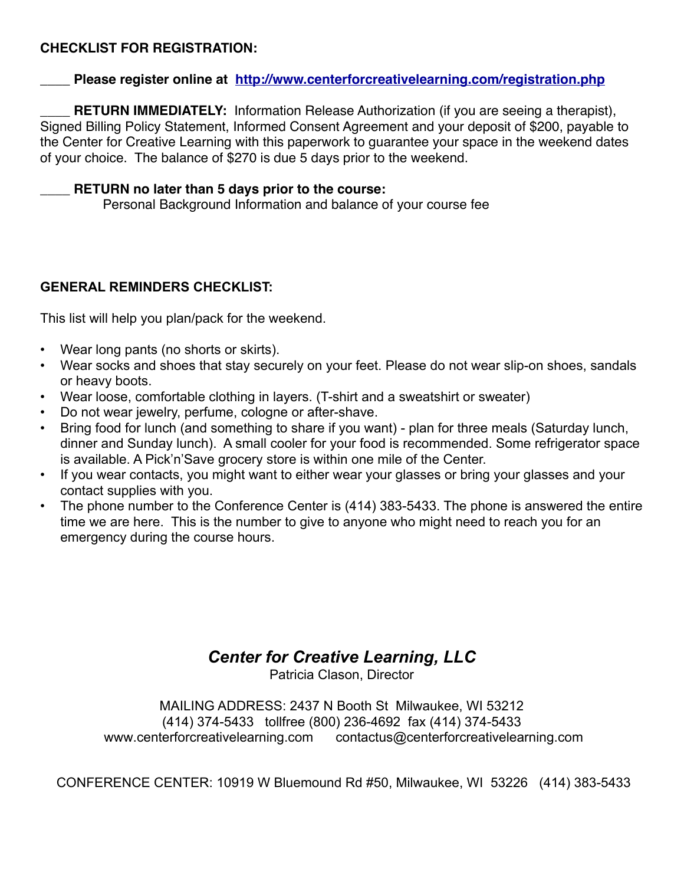## **CHECKLIST FOR REGISTRATION:**

### **\_\_\_\_ Please register online at <http://www.centerforcreativelearning.com/registration.php>**

**RETURN IMMEDIATELY:** Information Release Authorization (if you are seeing a therapist), Signed Billing Policy Statement, Informed Consent Agreement and your deposit of \$200, payable to the Center for Creative Learning with this paperwork to guarantee your space in the weekend dates of your choice. The balance of \$270 is due 5 days prior to the weekend.

### \_\_\_\_ **RETURN no later than 5 days prior to the course:**

Personal Background Information and balance of your course fee

# **GENERAL REMINDERS CHECKLIST:**

This list will help you plan/pack for the weekend.

- Wear long pants (no shorts or skirts).
- Wear socks and shoes that stay securely on your feet. Please do not wear slip-on shoes, sandals or heavy boots.
- Wear loose, comfortable clothing in layers. (T-shirt and a sweatshirt or sweater)
- Do not wear jewelry, perfume, cologne or after-shave.
- Bring food for lunch (and something to share if you want) plan for three meals (Saturday lunch, dinner and Sunday lunch). A small cooler for your food is recommended. Some refrigerator space is available. A Pick'n'Save grocery store is within one mile of the Center.
- If you wear contacts, you might want to either wear your glasses or bring your glasses and your contact supplies with you.
- The phone number to the Conference Center is (414) 383-5433. The phone is answered the entire time we are here. This is the number to give to anyone who might need to reach you for an emergency during the course hours.

# *Center for Creative Learning, LLC*

Patricia Clason, Director

MAILING ADDRESS: 2437 N Booth St Milwaukee, WI 53212 (414) 374-5433 tollfree (800) 236-4692 fax (414) 374-5433 www.centerforcreativelearning.com contactus@centerforcreativelearning.com

CONFERENCE CENTER: 10919 W Bluemound Rd #50, Milwaukee, WI 53226 (414) 383-5433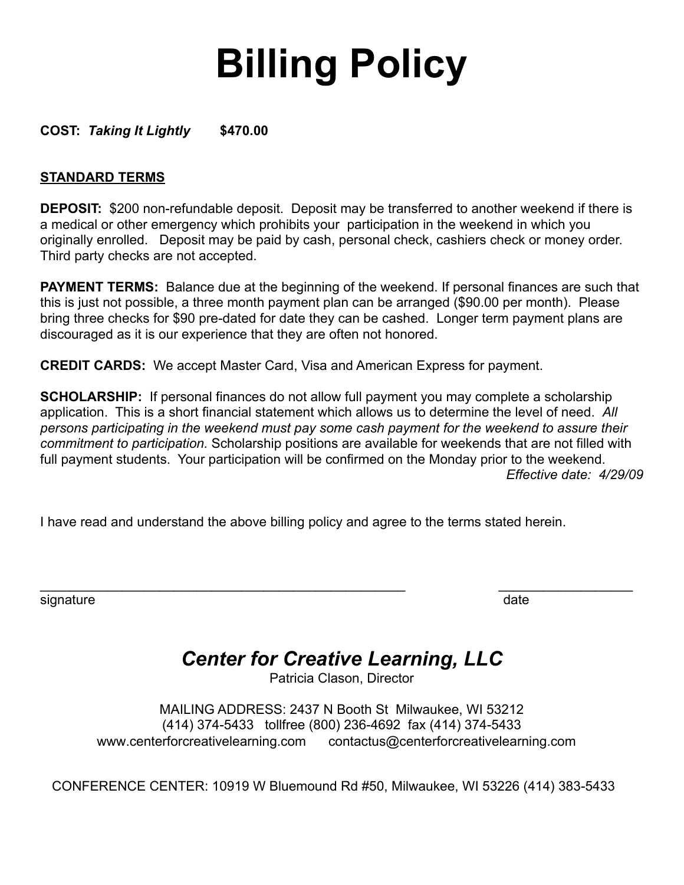# **Billing Policy**

**COST:** *Taking It Lightly* **\$470.00** 

# **STANDARD TERMS**

**DEPOSIT:** \$200 non-refundable deposit. Deposit may be transferred to another weekend if there is a medical or other emergency which prohibits your participation in the weekend in which you originally enrolled. Deposit may be paid by cash, personal check, cashiers check or money order. Third party checks are not accepted.

**PAYMENT TERMS:** Balance due at the beginning of the weekend. If personal finances are such that this is just not possible, a three month payment plan can be arranged (\$90.00 per month). Please bring three checks for \$90 pre-dated for date they can be cashed. Longer term payment plans are discouraged as it is our experience that they are often not honored.

**CREDIT CARDS:** We accept Master Card, Visa and American Express for payment.

**SCHOLARSHIP:** If personal finances do not allow full payment you may complete a scholarship application. This is a short financial statement which allows us to determine the level of need. *All persons participating in the weekend must pay some cash payment for the weekend to assure their commitment to participation.* Scholarship positions are available for weekends that are not filled with full payment students. Your participation will be confirmed on the Monday prior to the weekend. *Effective date: 4/29/09* 

I have read and understand the above billing policy and agree to the terms stated herein.

signature date date of the state of the state date of the state date of the state date of the state date

# *Center for Creative Learning, LLC*

\_\_\_\_\_\_\_\_\_\_\_\_\_\_\_\_\_\_\_\_\_\_\_\_\_\_\_\_\_\_\_\_\_\_\_\_\_\_\_\_\_\_\_\_\_\_\_\_\_ \_\_\_\_\_\_\_\_\_\_\_\_\_\_\_\_\_\_

Patricia Clason, Director

MAILING ADDRESS: 2437 N Booth St Milwaukee, WI 53212 (414) 374-5433 tollfree (800) 236-4692 fax (414) 374-5433 www.centerforcreativelearning.com contactus@centerforcreativelearning.com

CONFERENCE CENTER: 10919 W Bluemound Rd #50, Milwaukee, WI 53226 (414) 383-5433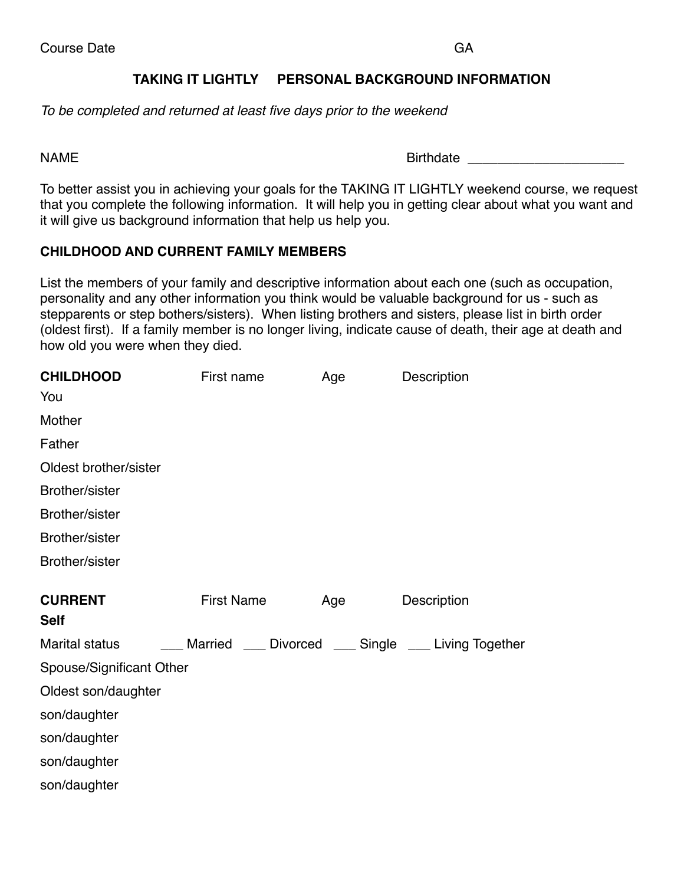# **TAKING IT LIGHTLY PERSONAL BACKGROUND INFORMATION**

*To be completed and returned at least five days prior to the weekend*

NAME Birthdate **Birthdate** 

To better assist you in achieving your goals for the TAKING IT LIGHTLY weekend course, we request that you complete the following information. It will help you in getting clear about what you want and it will give us background information that help us help you.

### **CHILDHOOD AND CURRENT FAMILY MEMBERS**

List the members of your family and descriptive information about each one (such as occupation, personality and any other information you think would be valuable background for us - such as stepparents or step bothers/sisters). When listing brothers and sisters, please list in birth order (oldest first). If a family member is no longer living, indicate cause of death, their age at death and how old you were when they died.

| First name | Age               | Description                                         |
|------------|-------------------|-----------------------------------------------------|
|            |                   |                                                     |
|            |                   |                                                     |
|            |                   |                                                     |
|            |                   |                                                     |
|            |                   |                                                     |
|            |                   |                                                     |
|            |                   |                                                     |
|            |                   |                                                     |
|            |                   |                                                     |
|            | Age               | Description                                         |
|            |                   |                                                     |
|            |                   |                                                     |
|            |                   |                                                     |
|            |                   |                                                     |
|            |                   |                                                     |
|            |                   |                                                     |
|            |                   |                                                     |
|            |                   |                                                     |
|            | <b>First Name</b> | __ Married __ Divorced __ Single __ Living Together |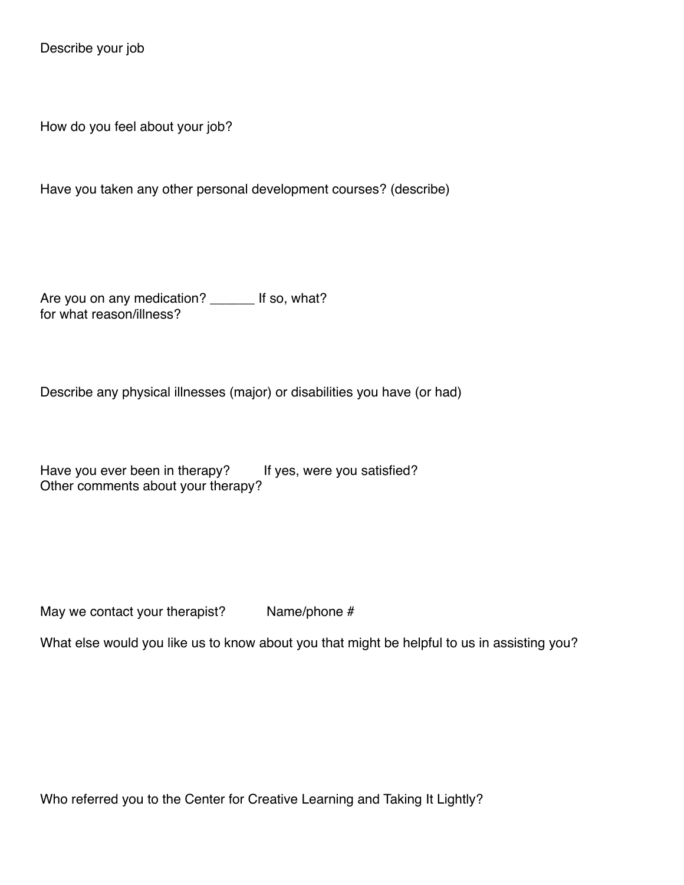Describe your job

How do you feel about your job?

Have you taken any other personal development courses? (describe)

Are you on any medication? \_\_\_\_\_\_ If so, what? for what reason/illness?

Describe any physical illnesses (major) or disabilities you have (or had)

Have you ever been in therapy? If yes, were you satisfied? Other comments about your therapy?

May we contact your therapist? Name/phone  $#$ 

What else would you like us to know about you that might be helpful to us in assisting you?

Who referred you to the Center for Creative Learning and Taking It Lightly?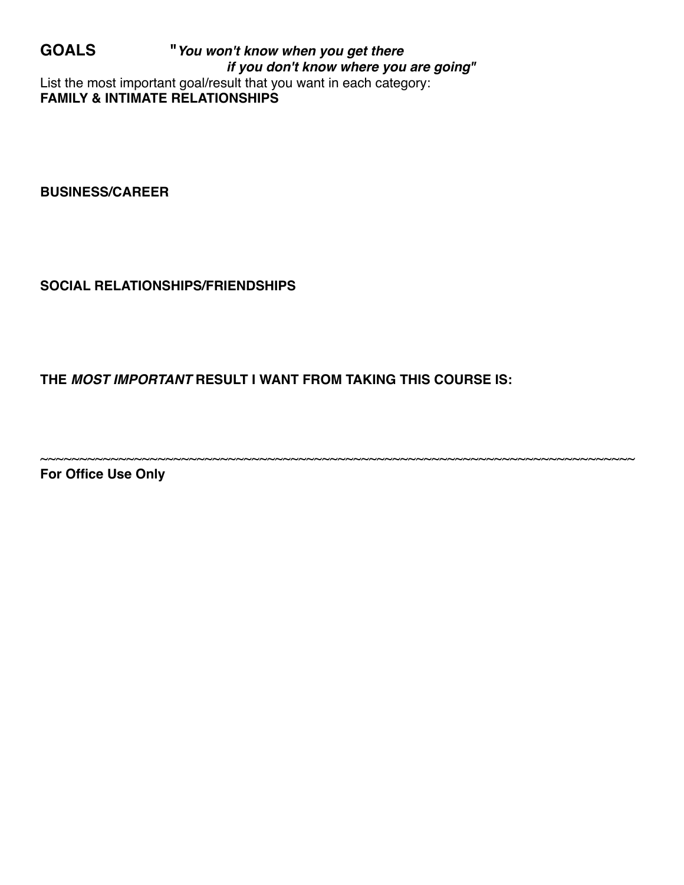**GOALS "***You won't know when you get there if you don't know where you are going"* List the most important goal/result that you want in each category: **FAMILY & INTIMATE RELATIONSHIPS**

**BUSINESS/CAREER**

**SOCIAL RELATIONSHIPS/FRIENDSHIPS**

**THE** *MOST IMPORTANT* **RESULT I WANT FROM TAKING THIS COURSE IS:**

~~~~~~~~~~~~~~~~~~~~~~~~~~~~~~~~~~~~~~~~~~~~~~~~~~~~~~~~~~~~~~~~~~~~~~~~~~~~

**For Office Use Only**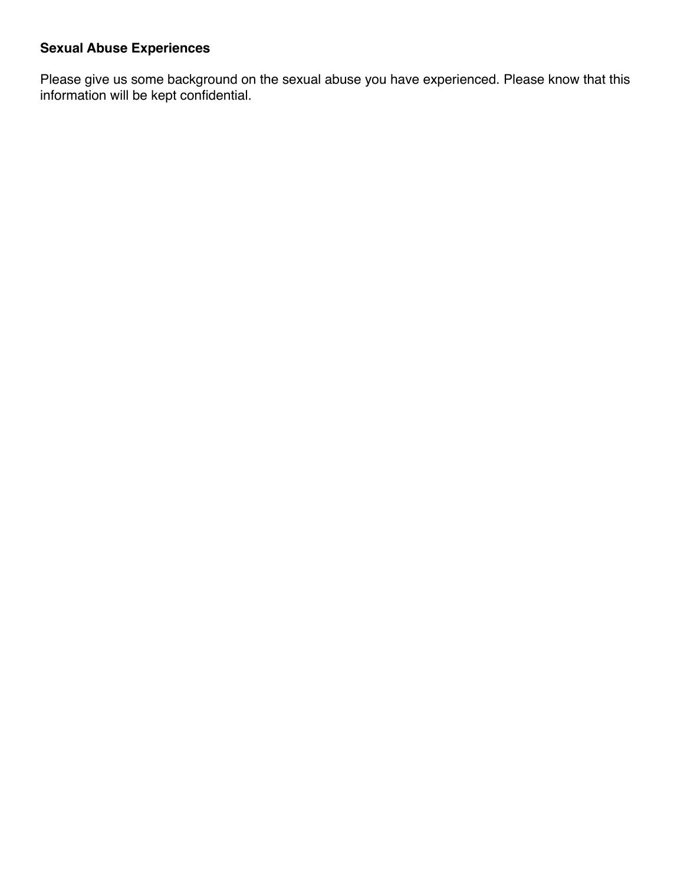# **Sexual Abuse Experiences**

Please give us some background on the sexual abuse you have experienced. Please know that this information will be kept confidential.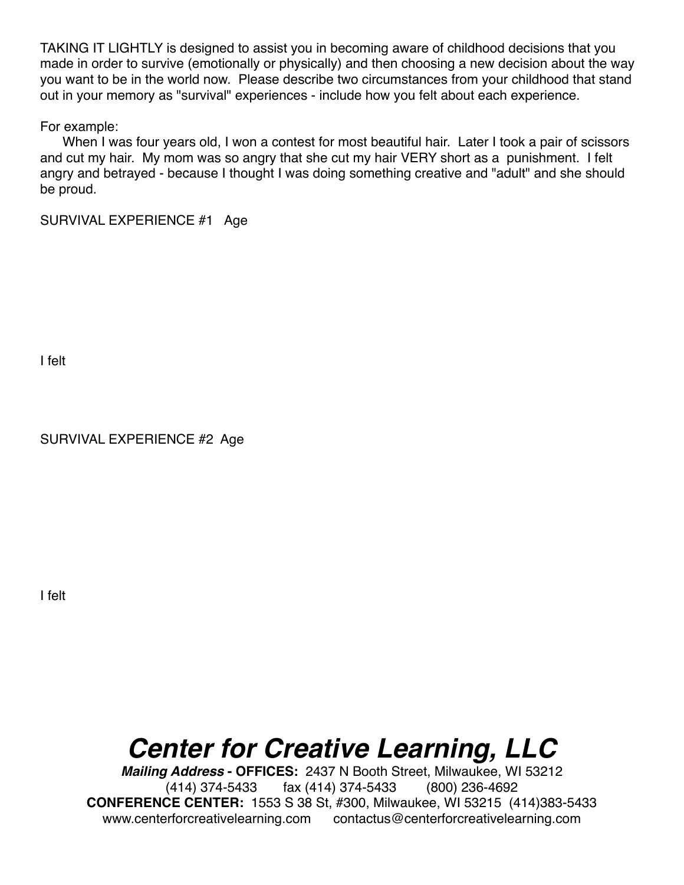TAKING IT LIGHTLY is designed to assist you in becoming aware of childhood decisions that you made in order to survive (emotionally or physically) and then choosing a new decision about the way you want to be in the world now. Please describe two circumstances from your childhood that stand out in your memory as "survival" experiences - include how you felt about each experience.

For example:

 When I was four years old, I won a contest for most beautiful hair. Later I took a pair of scissors and cut my hair. My mom was so angry that she cut my hair VERY short as a punishment. I felt angry and betrayed - because I thought I was doing something creative and "adult" and she should be proud.

SURVIVAL EXPERIENCE #1 Age

I felt

SURVIVAL EXPERIENCE #2 Age

I felt

# *Center for Creative Learning, LLC*

*Mailing Address* **- OFFICES:** 2437 N Booth Street, Milwaukee, WI 53212 (414) 374-5433 fax (414) 374-5433 (800) 236-4692 **CONFERENCE CENTER:** 1553 S 38 St, #300, Milwaukee, WI 53215 (414)383-5433 www.centerforcreativelearning.com contactus@centerforcreativelearning.com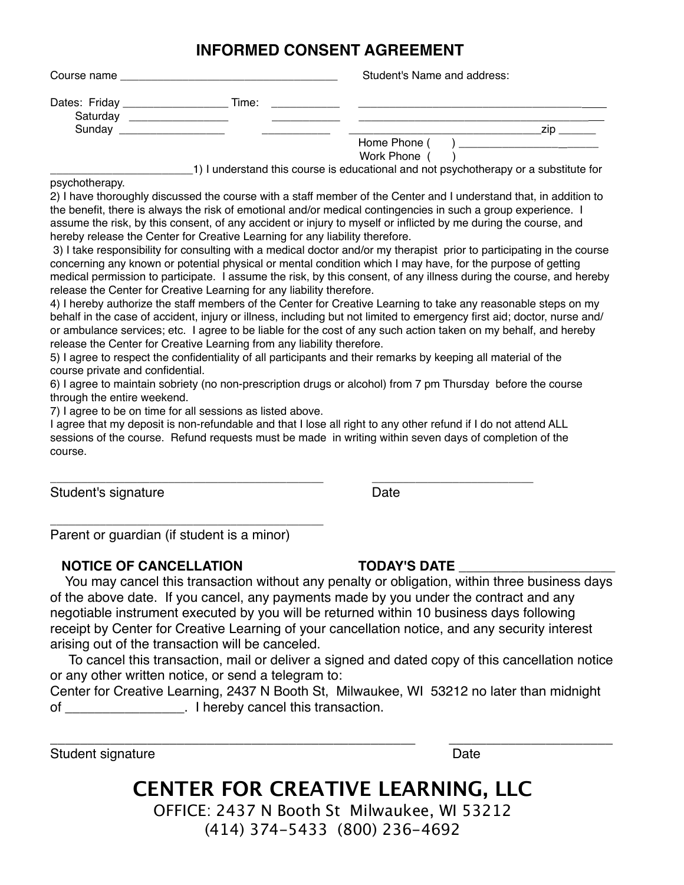# **INFORMED CONSENT AGREEMENT**

| Course name                  |       | Student's Name and address:                                                          |  |
|------------------------------|-------|--------------------------------------------------------------------------------------|--|
| Dates: Friday ______________ | Time: |                                                                                      |  |
| Saturday                     |       |                                                                                      |  |
| Sunday                       |       | zın.                                                                                 |  |
|                              |       | Home Phone (<br>) and the contract of the contract of $\mathcal{L}$                  |  |
|                              |       | Work Phone (                                                                         |  |
|                              |       | 1) I understand this course is educational and not psychotherapy or a substitute for |  |

psychotherapy.

2) I have thoroughly discussed the course with a staff member of the Center and I understand that, in addition to the benefit, there is always the risk of emotional and/or medical contingencies in such a group experience. I assume the risk, by this consent, of any accident or injury to myself or inflicted by me during the course, and hereby release the Center for Creative Learning for any liability therefore.

3) I take responsibility for consulting with a medical doctor and/or my therapist prior to participating in the course concerning any known or potential physical or mental condition which I may have, for the purpose of getting medical permission to participate. I assume the risk, by this consent, of any illness during the course, and hereby release the Center for Creative Learning for any liability therefore.

4) I hereby authorize the staff members of the Center for Creative Learning to take any reasonable steps on my behalf in the case of accident, injury or illness, including but not limited to emergency first aid; doctor, nurse and/ or ambulance services; etc. I agree to be liable for the cost of any such action taken on my behalf, and hereby release the Center for Creative Learning from any liability therefore.

5) I agree to respect the confidentiality of all participants and their remarks by keeping all material of the course private and confidential.

6) I agree to maintain sobriety (no non-prescription drugs or alcohol) from 7 pm Thursday before the course through the entire weekend.

7) I agree to be on time for all sessions as listed above.

I agree that my deposit is non-refundable and that I lose all right to any other refund if I do not attend ALL sessions of the course. Refund requests must be made in writing within seven days of completion of the course.

\_\_\_\_\_\_\_\_\_\_\_\_\_\_\_\_\_\_\_\_\_\_\_\_\_\_\_\_\_\_\_\_\_\_\_\_\_\_\_\_\_\_\_\_ \_\_\_\_\_\_\_\_\_\_\_\_\_\_\_\_\_\_\_\_\_\_\_\_\_\_

Student's signature Date Date

Parent or guardian (if student is a minor)

\_\_\_\_\_\_\_\_\_\_\_\_\_\_\_\_\_\_\_\_\_\_\_\_\_\_\_\_\_\_\_\_\_\_\_\_\_\_\_\_\_\_\_\_

### NOTICE OF CANCELLATION **TODAY'S DATE**

 You may cancel this transaction without any penalty or obligation, within three business days of the above date. If you cancel, any payments made by you under the contract and any negotiable instrument executed by you will be returned within 10 business days following receipt by Center for Creative Learning of your cancellation notice, and any security interest arising out of the transaction will be canceled.

 To cancel this transaction, mail or deliver a signed and dated copy of this cancellation notice or any other written notice, or send a telegram to:

Center for Creative Learning, 2437 N Booth St, Milwaukee, WI 53212 no later than midnight of the contraction of the contraction of the contraction of the state of the contraction.

Student signature  $1$  Date

\_\_\_\_\_\_\_\_\_\_\_\_\_\_\_\_\_\_\_\_\_\_\_\_\_\_\_\_\_\_\_\_\_\_\_\_\_\_\_\_\_\_\_\_\_\_\_\_\_ \_\_\_\_\_\_\_\_\_\_\_\_\_\_\_\_\_\_\_\_\_\_

# **CENTER FOR CREATIVE LEARNING, LLC**

OFFICE: 2437 N Booth St Milwaukee, WI 53212 (414) 374-5433 (800) 236-4692